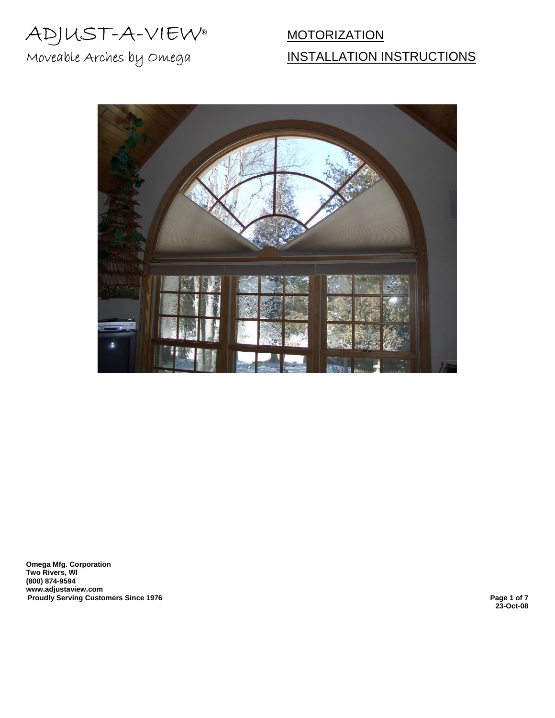# ADJUST-A-VIEW® <u>MOTORIZATION</u><br>Moveable Arches by Omega MSTALLATION I

## INSTALLATION INSTRUCTIONS



**Omega Mfg. Corporation Two Rivers, WI (800) 874-9594 www.adjustaview.com Proudly Serving Customers Since 1976** Page 1 of 7 **Page 1 of 7**  $\blacksquare$ 

**23-Oct-08**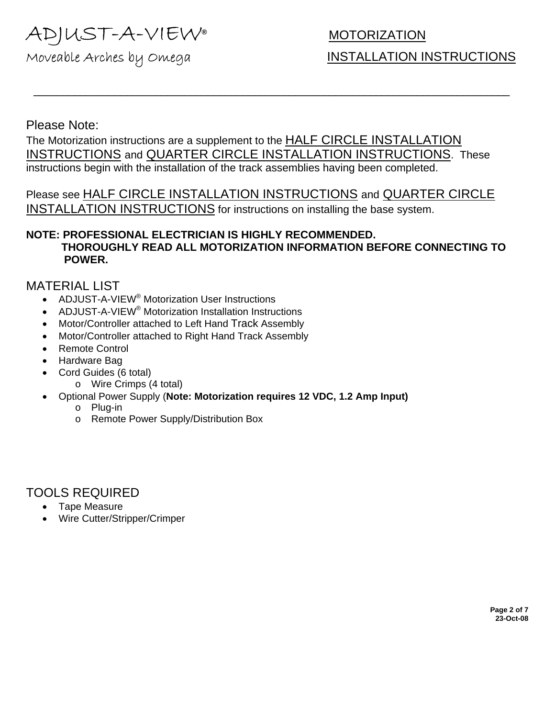### ADJUST-A-VIEW® <u>MOTORIZATION</u>

## Moveable Arches by Omega INSTALLATION INSTRUCTIONS

### Please Note:

The Motorization instructions are a supplement to the HALF CIRCLE INSTALLATION INSTRUCTIONS and QUARTER CIRCLE INSTALLATION INSTRUCTIONS. These instructions begin with the installation of the track assemblies having been completed.

 $\overline{\phantom{a}}$  ,  $\overline{\phantom{a}}$  ,  $\overline{\phantom{a}}$  ,  $\overline{\phantom{a}}$  ,  $\overline{\phantom{a}}$  ,  $\overline{\phantom{a}}$  ,  $\overline{\phantom{a}}$  ,  $\overline{\phantom{a}}$  ,  $\overline{\phantom{a}}$  ,  $\overline{\phantom{a}}$  ,  $\overline{\phantom{a}}$  ,  $\overline{\phantom{a}}$  ,  $\overline{\phantom{a}}$  ,  $\overline{\phantom{a}}$  ,  $\overline{\phantom{a}}$  ,  $\overline{\phantom{a}}$ 

Please see HALF CIRCLE INSTALLATION INSTRUCTIONS and QUARTER CIRCLE INSTALLATION INSTRUCTIONS for instructions on installing the base system.

### **NOTE: PROFESSIONAL ELECTRICIAN IS HIGHLY RECOMMENDED. THOROUGHLY READ ALL MOTORIZATION INFORMATION BEFORE CONNECTING TO POWER.**

### MATERIAL LIST

- ADJUST-A-VIEW® Motorization User Instructions
- ADJUST-A-VIEW<sup>®</sup> Motorization Installation Instructions
- Motor/Controller attached to Left Hand Track Assembly
- Motor/Controller attached to Right Hand Track Assembly
- Remote Control
- Hardware Bag
- Cord Guides (6 total)
	- o Wire Crimps (4 total)
- Optional Power Supply (**Note: Motorization requires 12 VDC, 1.2 Amp Input)**
	- o Plug-in
	- o Remote Power Supply/Distribution Box

### TOOLS REQUIRED

- Tape Measure
- Wire Cutter/Stripper/Crimper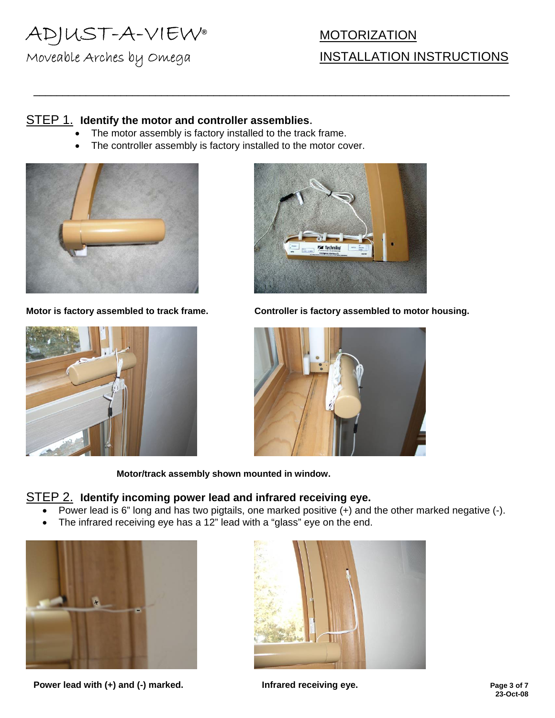## Moveable Arches by Omega INSTALLATION INSTRUCTIONS

#### STEP 1. **Identify the motor and controller assemblies**.

- The motor assembly is factory installed to the track frame.
- The controller assembly is factory installed to the motor cover.

 $\overline{\phantom{a}}$  ,  $\overline{\phantom{a}}$  ,  $\overline{\phantom{a}}$  ,  $\overline{\phantom{a}}$  ,  $\overline{\phantom{a}}$  ,  $\overline{\phantom{a}}$  ,  $\overline{\phantom{a}}$  ,  $\overline{\phantom{a}}$  ,  $\overline{\phantom{a}}$  ,  $\overline{\phantom{a}}$  ,  $\overline{\phantom{a}}$  ,  $\overline{\phantom{a}}$  ,  $\overline{\phantom{a}}$  ,  $\overline{\phantom{a}}$  ,  $\overline{\phantom{a}}$  ,  $\overline{\phantom{a}}$ 





**Motor is factory assembled to track frame. Controller is factory assembled to motor housing.** 





 **Motor/track assembly shown mounted in window.**

#### STEP 2. **Identify incoming power lead and infrared receiving eye.**

- Power lead is 6" long and has two pigtails, one marked positive (+) and the other marked negative (-).
- The infrared receiving eye has a 12" lead with a "glass" eye on the end.



**Power lead with (+) and (-) marked. The Second Lead receiving eye.** The same states are required as a Page 3 of 7

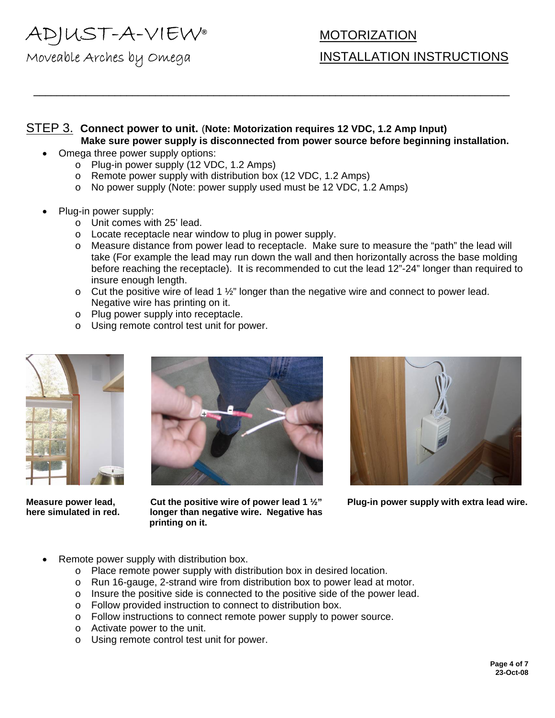Moveable Arches by Omega INSTALLATION INSTRUCTIONS

#### STEP 3. **Connect power to unit.** (**Note: Motorization requires 12 VDC, 1.2 Amp Input) Make sure power supply is disconnected from power source before beginning installation.**

 $\overline{\phantom{a}}$  ,  $\overline{\phantom{a}}$  ,  $\overline{\phantom{a}}$  ,  $\overline{\phantom{a}}$  ,  $\overline{\phantom{a}}$  ,  $\overline{\phantom{a}}$  ,  $\overline{\phantom{a}}$  ,  $\overline{\phantom{a}}$  ,  $\overline{\phantom{a}}$  ,  $\overline{\phantom{a}}$  ,  $\overline{\phantom{a}}$  ,  $\overline{\phantom{a}}$  ,  $\overline{\phantom{a}}$  ,  $\overline{\phantom{a}}$  ,  $\overline{\phantom{a}}$  ,  $\overline{\phantom{a}}$ 

- Omega three power supply options:
	- o Plug-in power supply (12 VDC, 1.2 Amps)
	- o Remote power supply with distribution box (12 VDC, 1.2 Amps)
	- o No power supply (Note: power supply used must be 12 VDC, 1.2 Amps)
- Plug-in power supply:
	- o Unit comes with 25' lead.
	- o Locate receptacle near window to plug in power supply.
	- o Measure distance from power lead to receptacle. Make sure to measure the "path" the lead will take (For example the lead may run down the wall and then horizontally across the base molding before reaching the receptacle). It is recommended to cut the lead 12"-24" longer than required to insure enough length.
	- $\circ$  Cut the positive wire of lead 1  $\frac{1}{2}$ " longer than the negative wire and connect to power lead. Negative wire has printing on it.
	- o Plug power supply into receptacle.
	- o Using remote control test unit for power.





**here simulated in red. longer than negative wire. Negative has printing on it.** 



**Measure power lead, Cut the positive wire of power lead 1 ½" Plug-in power supply with extra lead wire.** 

- Remote power supply with distribution box.
	- o Place remote power supply with distribution box in desired location.
	- o Run 16-gauge, 2-strand wire from distribution box to power lead at motor.
	- o Insure the positive side is connected to the positive side of the power lead.
	- o Follow provided instruction to connect to distribution box.
	- o Follow instructions to connect remote power supply to power source.
	- o Activate power to the unit.
	- o Using remote control test unit for power.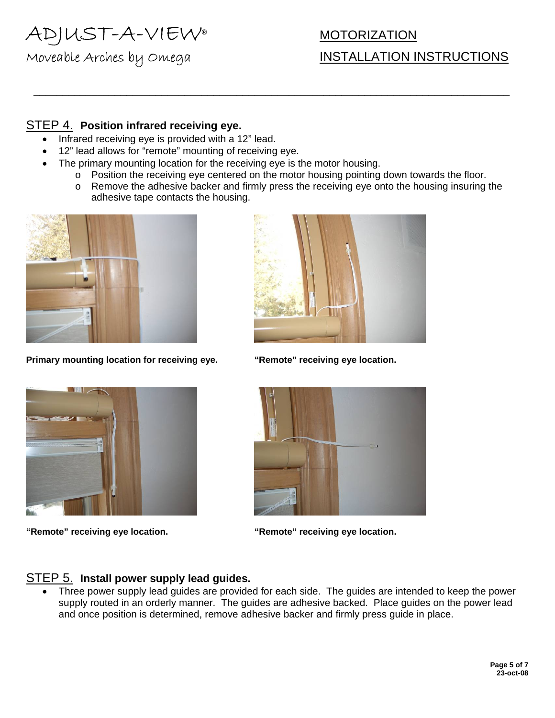## ADJUST-A-VIEW® <u>MOTORIZATION</u>

# Moveable Arches by Omega INSTALLATION INSTRUCTIONS

### STEP 4. **Position infrared receiving eye.**

- Infrared receiving eye is provided with a 12" lead.
- 12" lead allows for "remote" mounting of receiving eye.
	- The primary mounting location for the receiving eye is the motor housing.
		- o Position the receiving eye centered on the motor housing pointing down towards the floor.

 $\overline{\phantom{a}}$  ,  $\overline{\phantom{a}}$  ,  $\overline{\phantom{a}}$  ,  $\overline{\phantom{a}}$  ,  $\overline{\phantom{a}}$  ,  $\overline{\phantom{a}}$  ,  $\overline{\phantom{a}}$  ,  $\overline{\phantom{a}}$  ,  $\overline{\phantom{a}}$  ,  $\overline{\phantom{a}}$  ,  $\overline{\phantom{a}}$  ,  $\overline{\phantom{a}}$  ,  $\overline{\phantom{a}}$  ,  $\overline{\phantom{a}}$  ,  $\overline{\phantom{a}}$  ,  $\overline{\phantom{a}}$ 

o Remove the adhesive backer and firmly press the receiving eye onto the housing insuring the adhesive tape contacts the housing.



**Primary mounting location for receiving eye. "Remote" receiving eye location.** 





**"Remote" receiving eye location. "Remote" receiving eye location.** 



### STEP 5. **Install power supply lead guides.**

Three power supply lead guides are provided for each side. The guides are intended to keep the power supply routed in an orderly manner. The guides are adhesive backed. Place guides on the power lead and once position is determined, remove adhesive backer and firmly press guide in place.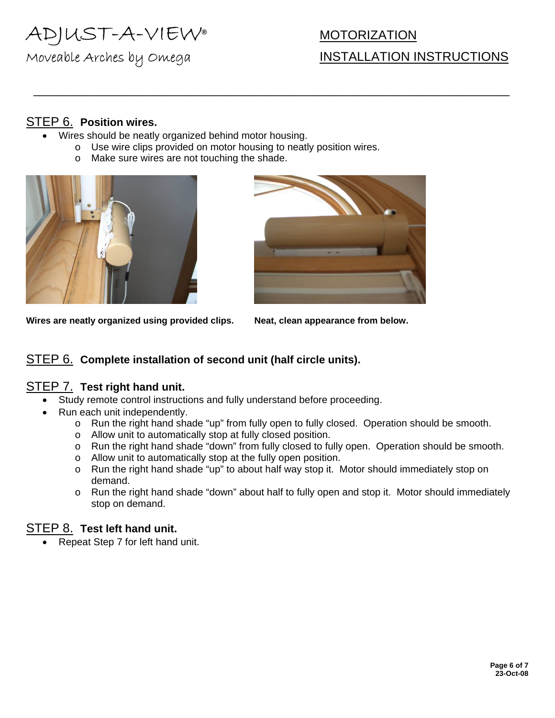# Moveable Arches by Omega INSTALLATION INSTRUCTIONS

### STEP 6. **Position wires.**

- Wires should be neatly organized behind motor housing.
	- o Use wire clips provided on motor housing to neatly position wires.

 $\overline{\phantom{a}}$  ,  $\overline{\phantom{a}}$  ,  $\overline{\phantom{a}}$  ,  $\overline{\phantom{a}}$  ,  $\overline{\phantom{a}}$  ,  $\overline{\phantom{a}}$  ,  $\overline{\phantom{a}}$  ,  $\overline{\phantom{a}}$  ,  $\overline{\phantom{a}}$  ,  $\overline{\phantom{a}}$  ,  $\overline{\phantom{a}}$  ,  $\overline{\phantom{a}}$  ,  $\overline{\phantom{a}}$  ,  $\overline{\phantom{a}}$  ,  $\overline{\phantom{a}}$  ,  $\overline{\phantom{a}}$ 

o Make sure wires are not touching the shade.





**Wires are neatly organized using provided clips. Neat, clean appearance from below.**

### STEP 6. **Complete installation of second unit (half circle units).**

### STEP 7. **Test right hand unit.**

- Study remote control instructions and fully understand before proceeding.
	- Run each unit independently.
		- o Run the right hand shade "up" from fully open to fully closed. Operation should be smooth.
		- o Allow unit to automatically stop at fully closed position.
		- o Run the right hand shade "down" from fully closed to fully open. Operation should be smooth.
		- o Allow unit to automatically stop at the fully open position.
		- o Run the right hand shade "up" to about half way stop it. Motor should immediately stop on demand.
		- o Run the right hand shade "down" about half to fully open and stop it. Motor should immediately stop on demand.

### STEP 8. **Test left hand unit.**

• Repeat Step 7 for left hand unit.